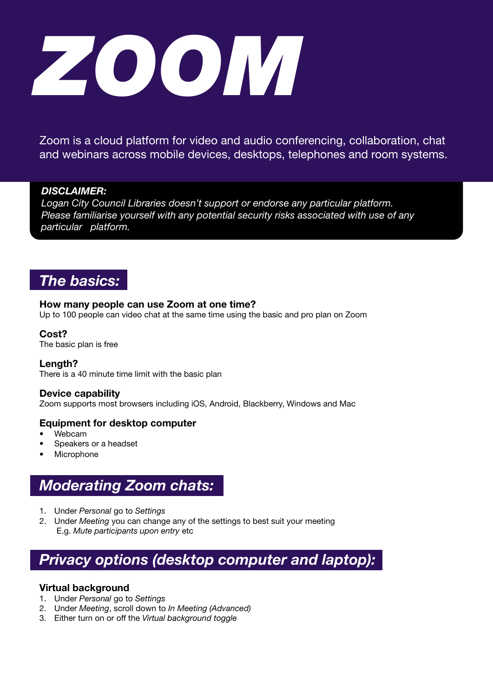

Zoom is a cloud platform for video and audio conferencing, collaboration, chat and webinars across mobile devices, desktops, telephones and room systems.

### *DISCLAIMER:*

*Logan City Council Libraries doesn't support or endorse any particular platform. Please familiarise yourself with any potential security risks associated with use of any particular platform.* 

### *The basics:*

### How many people can use Zoom at one time?

Up to 100 people can video chat at the same time using the basic and pro plan on Zoom

### Cost?

The basic plan is free

#### Length?

There is a 40 minute time limit with the basic plan

#### Device capability

Zoom supports most browsers including iOS, Android, Blackberry, Windows and Mac

### Equipment for desktop computer

- Webcam
- Speakers or a headset
- **Microphone**

### *Moderating Zoom chats:*

- 1. Under *Personal* go to *Settings*
- 2. Under *Meeting* you can change any of the settings to best suit your meeting E.g. *Mute participants upon entry* etc

# *Privacy options (desktop computer and laptop):*

### Virtual background

- 1. Under *Personal* go to *Settings*
- 2. Under *Meeting*, scroll down to *In Meeting (Advanced)*
- 3. Either turn on or off the *Virtual background toggle*